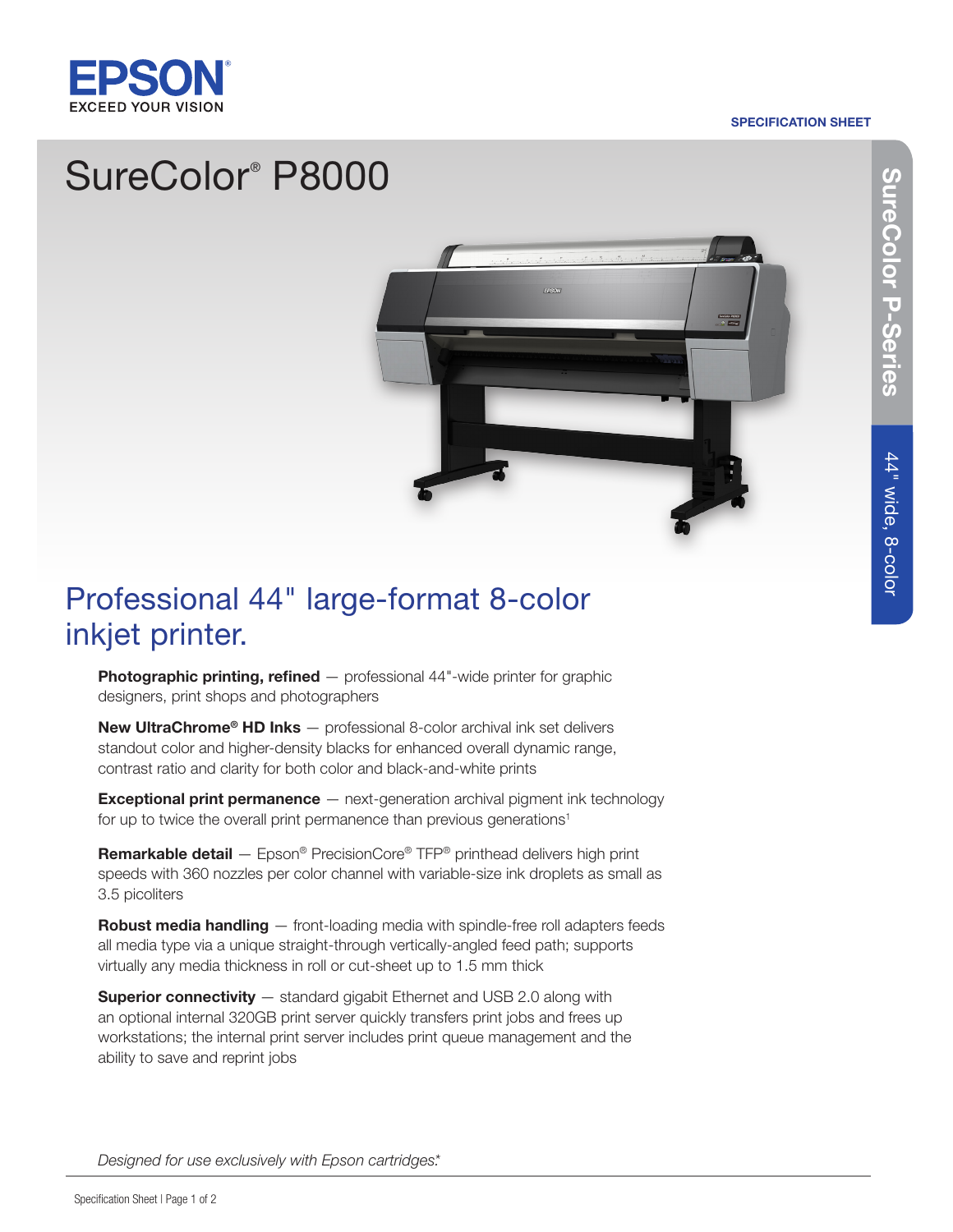

#### SPECIFICATION SHEET

# SureColor® P8000



## Professional 44" large-format 8-color inkjet printer.

**Photographic printing, refined**  $-$  professional 44"-wide printer for graphic designers, print shops and photographers

New UltraChrome® HD Inks — professional 8-color archival ink set delivers standout color and higher-density blacks for enhanced overall dynamic range, contrast ratio and clarity for both color and black-and-white prints

Exceptional print permanence — next-generation archival pigment ink technology for up to twice the overall print permanence than previous generations<sup>1</sup>

Remarkable detail — Epson® PrecisionCore® TFP® printhead delivers high print speeds with 360 nozzles per color channel with variable-size ink droplets as small as 3.5 picoliters

**Robust media handling** — front-loading media with spindle-free roll adapters feeds all media type via a unique straight-through vertically-angled feed path; supports virtually any media thickness in roll or cut-sheet up to 1.5 mm thick

**Superior connectivity**  $-$  standard gigabit Ethernet and USB 2.0 along with an optional internal 320GB print server quickly transfers print jobs and frees up workstations; the internal print server includes print queue management and the ability to save and reprint jobs

*Designed for use exclusively with Epson cartridges.\**